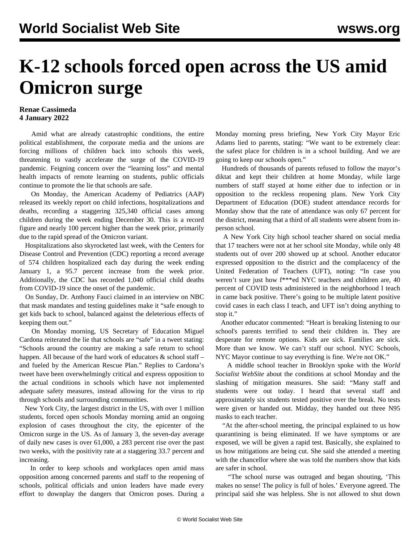## **K-12 schools forced open across the US amid Omicron surge**

## **Renae Cassimeda 4 January 2022**

 Amid what are already catastrophic conditions, the entire political establishment, the corporate media and the unions are forcing millions of children back into schools this week, threatening to vastly accelerate the surge of the COVID-19 pandemic. Feigning concern over the "learning loss" and mental health impacts of remote learning on students, public officials continue to promote the lie that schools are safe.

 On Monday, the American Academy of Pediatrics (AAP) released its weekly report on child infections, hospitalizations and deaths, recording a staggering 325,340 official cases among children during the week ending December 30. This is a record figure and nearly 100 percent higher than the week prior, primarily due to the rapid spread of the Omicron variant.

 Hospitalizations also skyrocketed last week, with the Centers for Disease Control and Prevention (CDC) reporting a record average of 574 children hospitalized each day during the week ending January 1, a 95.7 percent increase from the week prior. Additionally, the CDC has recorded 1,040 official child deaths from COVID-19 since the onset of the pandemic.

 On Sunday, Dr. Anthony Fauci claimed in an interview on NBC that mask mandates and testing guidelines make it "safe enough to get kids back to school, balanced against the deleterious effects of keeping them out."

 On Monday morning, US Secretary of Education Miguel Cardona reiterated the lie that schools are "safe" in a tweet stating: "Schools around the country are making a safe return to school happen. All because of the hard work of educators & school staff – and fueled by the American Rescue Plan." Replies to Cardona's tweet have been overwhelmingly critical and express opposition to the actual conditions in schools which have not implemented adequate safety measures, instead allowing for the virus to rip through schools and surrounding communities.

 New York City, the largest district in the US, with over 1 million students, forced open schools Monday morning amid an ongoing explosion of cases throughout the city, the epicenter of the Omicron surge in the US. As of January 3, the seven-day average of daily new cases is over 61,000, a 283 percent rise over the past two weeks, with the positivity rate at a staggering 33.7 percent and increasing.

 In order to keep schools and workplaces open amid mass opposition among concerned parents and staff to the reopening of schools, political officials and union leaders have made every effort to downplay the dangers that Omicron poses. During a Monday morning press briefing, New York City Mayor Eric Adams lied to parents, stating: "We want to be extremely clear: the safest place for children is in a school building. And we are going to keep our schools open."

 Hundreds of thousands of parents refused to follow the mayor's diktat and kept their children at home Monday, while large numbers of staff stayed at home either due to infection or in opposition to the reckless reopening plans. New York City Department of Education (DOE) student attendance records for Monday show that the rate of attendance was only 67 percent for the district, meaning that a third of all students were absent from inperson school.

 A New York City high school teacher shared on social media that 17 teachers were not at her school site Monday, while only 48 students out of over 200 showed up at school. Another educator expressed opposition to the district and the complacency of the United Federation of Teachers (UFT), noting: "In case you weren't sure just how f\*\*\*ed NYC teachers and children are, 40 percent of COVID tests administered in the neighborhood I teach in came back positive. There's going to be multiple latent positive covid cases in each class I teach, and UFT isn't doing anything to stop it."

 Another educator commented: "Heart is breaking listening to our school's parents terrified to send their children in. They are desperate for remote options. Kids are sick. Families are sick. More than we know. We can't staff our school. NYC Schools, NYC Mayor continue to say everything is fine. We're not OK."

 A middle school teacher in Brooklyn spoke with the *World Socialist WebSite* about the conditions at school Monday and the slashing of mitigation measures. She said: "Many staff and students were out today. I heard that several staff and approximately six students tested positive over the break. No tests were given or handed out. Midday, they handed out three N95 masks to each teacher.

 "At the after-school meeting, the principal explained to us how quarantining is being eliminated. If we have symptoms or are exposed, we will be given a rapid test. Basically, she explained to us how mitigations are being cut. She said she attended a meeting with the chancellor where she was told the numbers show that kids are safer in school.

 "The school nurse was outraged and began shouting, 'This makes no sense! The policy is full of holes.' Everyone agreed. The principal said she was helpless. She is not allowed to shut down